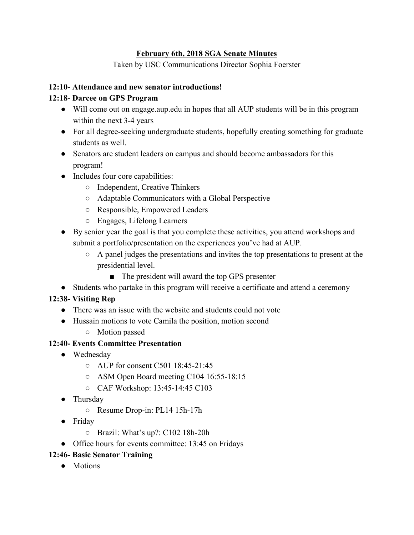### **February 6th, 2018 SGA Senate Minutes**

Taken by USC Communications Director Sophia Foerster

### **12:10- Attendance and new senator introductions!**

## **12:18- Darcee on GPS Program**

- Will come out on engage.aup.edu in hopes that all AUP students will be in this program within the next 3-4 years
- For all degree-seeking undergraduate students, hopefully creating something for graduate students as well.
- Senators are student leaders on campus and should become ambassadors for this program!
- Includes four core capabilities:
	- Independent, Creative Thinkers
	- Adaptable Communicators with a Global Perspective
	- Responsible, Empowered Leaders
	- Engages, Lifelong Learners
- By senior year the goal is that you complete these activities, you attend workshops and submit a portfolio/presentation on the experiences you've had at AUP.
	- A panel judges the presentations and invites the top presentations to present at the presidential level.
		- The president will award the top GPS presenter
- Students who partake in this program will receive a certificate and attend a ceremony

# **12:38- Visiting Rep**

- There was an issue with the website and students could not vote
- Hussain motions to vote Camila the position, motion second
	- Motion passed

## **12:40- Events Committee Presentation**

- Wednesday
	- AUP for consent C501 18:45-21:45
	- ASM Open Board meeting C104 16:55-18:15
	- CAF Workshop: 13:45-14:45 C103
- Thursday
	- Resume Drop-in: PL14 15h-17h
- Friday
	- Brazil: What's up?: C102 18h-20h
- Office hours for events committee: 13:45 on Fridays

# **12:46- Basic Senator Training**

● Motions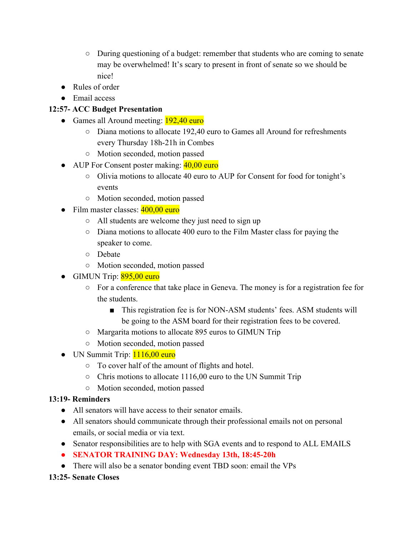- During questioning of a budget: remember that students who are coming to senate may be overwhelmed! It's scary to present in front of senate so we should be nice!
- Rules of order
- Email access

# **12:57- ACC Budget Presentation**

- Games all Around meeting: 192,40 euro
	- Diana motions to allocate 192,40 euro to Games all Around for refreshments every Thursday 18h-21h in Combes
	- Motion seconded, motion passed
- AUP For Consent poster making: 40,00 euro
	- Olivia motions to allocate 40 euro to AUP for Consent for food for tonight's events
	- Motion seconded, motion passed
- Film master classes:  $400,00$  euro
	- All students are welcome they just need to sign up
	- Diana motions to allocate 400 euro to the Film Master class for paying the speaker to come.
	- Debate
	- Motion seconded, motion passed
- GIMUN Trip:  $895,00$  euro
	- For a conference that take place in Geneva. The money is for a registration fee for the students.
		- This registration fee is for NON-ASM students' fees. ASM students will be going to the ASM board for their registration fees to be covered.
	- Margarita motions to allocate 895 euros to GIMUN Trip
	- Motion seconded, motion passed
- UN Summit Trip: 1116,00 euro
	- To cover half of the amount of flights and hotel.
	- Chris motions to allocate 1116,00 euro to the UN Summit Trip
	- Motion seconded, motion passed

# **13:19- Reminders**

- All senators will have access to their senator emails.
- All senators should communicate through their professional emails not on personal emails, or social media or via text.
- Senator responsibilities are to help with SGA events and to respond to ALL EMAILS
- **● SENATOR TRAINING DAY: Wednesday 13th, 18:45-20h**
- There will also be a senator bonding event TBD soon: email the VPs

# **13:25- Senate Closes**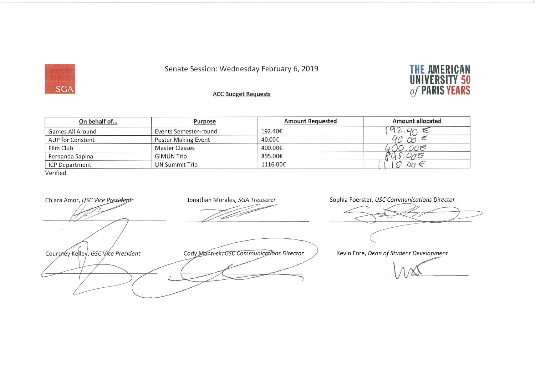## Senate Session: Wednesday February 6, 2019



**ACC Budget Requests** 

| On behalf of            | <b>Purpose</b>             | <b>Amount Requested</b> | <b>Amount allocated</b> |  |  |  |  |
|-------------------------|----------------------------|-------------------------|-------------------------|--|--|--|--|
| Games All Around        | Events Semester-round      | 192.40€                 | $L_{\ell}$              |  |  |  |  |
| <b>AUP for Constent</b> | <b>Poster Making Event</b> | 40.00€                  | E                       |  |  |  |  |
| Film Club               | <b>Master Classes</b>      | 400.00€                 | 30.00€                  |  |  |  |  |
| Fernanda Sapina         | <b>GIMUN Trip</b>          | 895.00€                 | ORE                     |  |  |  |  |
| <b>ICP Department</b>   | <b>UN Summit Trip</b>      | 1116.00€                | $6.00 \in$              |  |  |  |  |
| Verified                |                            |                         |                         |  |  |  |  |

Chiara Amor, USC Vice President

Courtney Kelley, GSC Vice President

Jonathan Morales, SGA Treasurer

Cody Manniek, GSC Communications Director

Sophia Foerster, USC Communications Director

Kevin Fore, Dean of Student Development

**SGA**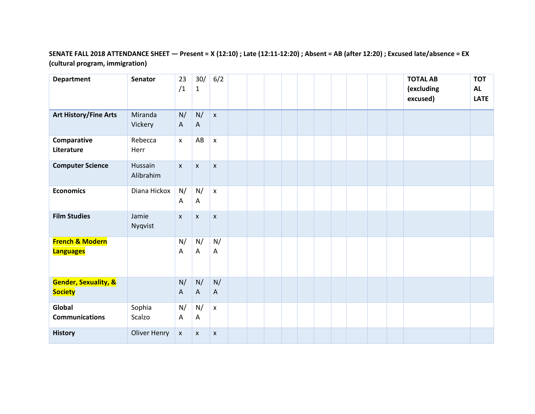### **SENATE FALL 2018 ATTENDANCE SHEET — Present = X (12:10) ; Late (12:11-12:20) ; Absent = AB (after 12:20) ; Excused late/absence = EX (cultural program, immigration)**

| <b>Department</b>                                 | Senator              | 23<br>/1           | 30/<br>$\mathbf{1}$ | 6/2                |  |  |  |  |  | <b>TOTAL AB</b><br>(excluding<br>excused) | <b>TOT</b><br><b>AL</b><br><b>LATE</b> |
|---------------------------------------------------|----------------------|--------------------|---------------------|--------------------|--|--|--|--|--|-------------------------------------------|----------------------------------------|
| <b>Art History/Fine Arts</b>                      | Miranda<br>Vickery   | N/<br>$\mathsf{A}$ | N/<br>$\mathsf{A}$  | $\mathsf{x}$       |  |  |  |  |  |                                           |                                        |
| Comparative<br>Literature                         | Rebecca<br>Herr      | $\mathsf{x}$       | AB                  | x                  |  |  |  |  |  |                                           |                                        |
| <b>Computer Science</b>                           | Hussain<br>Alibrahim | $\pmb{\mathsf{X}}$ | $\pmb{\mathsf{x}}$  | $\pmb{\mathsf{X}}$ |  |  |  |  |  |                                           |                                        |
| <b>Economics</b>                                  | Diana Hickox         | N/<br>Α            | N/<br>Α             | $\pmb{\mathsf{X}}$ |  |  |  |  |  |                                           |                                        |
| <b>Film Studies</b>                               | Jamie<br>Nyqvist     | $\pmb{\chi}$       | $\pmb{\mathsf{X}}$  | $\pmb{\mathsf{X}}$ |  |  |  |  |  |                                           |                                        |
| <b>French &amp; Modern</b><br><b>Languages</b>    |                      | N/<br>Α            | N/<br>Α             | N/<br>Α            |  |  |  |  |  |                                           |                                        |
| <b>Gender, Sexuality, &amp;</b><br><b>Society</b> |                      | N/<br>$\mathsf{A}$ | N/<br>$\mathsf{A}$  | N/<br>A            |  |  |  |  |  |                                           |                                        |
| Global<br><b>Communications</b>                   | Sophia<br>Scalzo     | N/<br>A            | N/<br>A             | $\pmb{\mathsf{x}}$ |  |  |  |  |  |                                           |                                        |
| <b>History</b>                                    | <b>Oliver Henry</b>  | $\pmb{\mathsf{x}}$ | $\mathsf{x}$        | $\pmb{\mathsf{x}}$ |  |  |  |  |  |                                           |                                        |